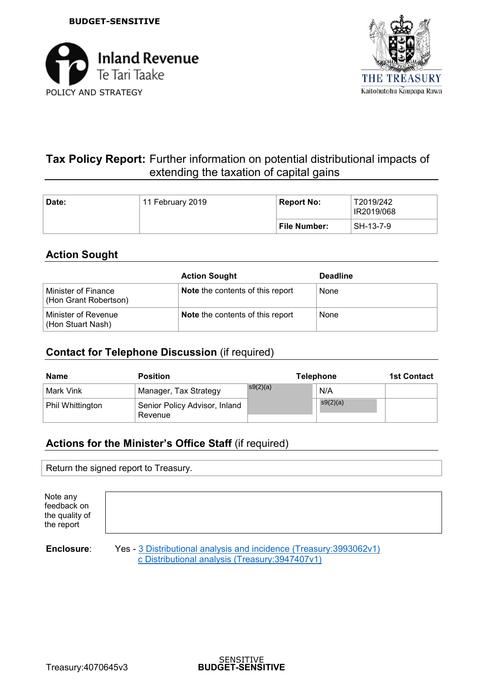



# **Tax Policy Report:** Further information on potential distributional impacts of extending the taxation of capital gains

| Date: | 11 February 2019 |              | T2019/242<br>IR2019/068 |
|-------|------------------|--------------|-------------------------|
|       |                  | File Number: | SH-13-7-9               |

## **Action Sought**

|                                              | <b>Action Sought</b>                    | <b>Deadline</b> |
|----------------------------------------------|-----------------------------------------|-----------------|
| Minister of Finance<br>(Hon Grant Robertson) | <b>Note</b> the contents of this report | None            |
| Minister of Revenue<br>(Hon Stuart Nash)     | <b>Note the contents of this report</b> | None            |

## **Contact for Telephone Discussion** (if required)

| Name             | <b>Position</b>                          | <b>Telephone</b> | <b>1st Contact</b> |  |
|------------------|------------------------------------------|------------------|--------------------|--|
| Mark Vink        | Manager, Tax Strategy                    | s9(2)(a)         | N/A                |  |
| Phil Whittington | Senior Policy Advisor, Inland<br>Revenue |                  | s9(2)(a)           |  |

## **Actions for the Minister's Office Staff** (if required)

Return the signed report to Treasury.

| Note any<br>feedback on<br>the quality of<br>the report |  |
|---------------------------------------------------------|--|
|                                                         |  |
|                                                         |  |

**Enclosure:** Yes - 3 Distributional analysis and incidence (Treasury:3993062v1) c Distributional analysis (Treasury:3947407v1)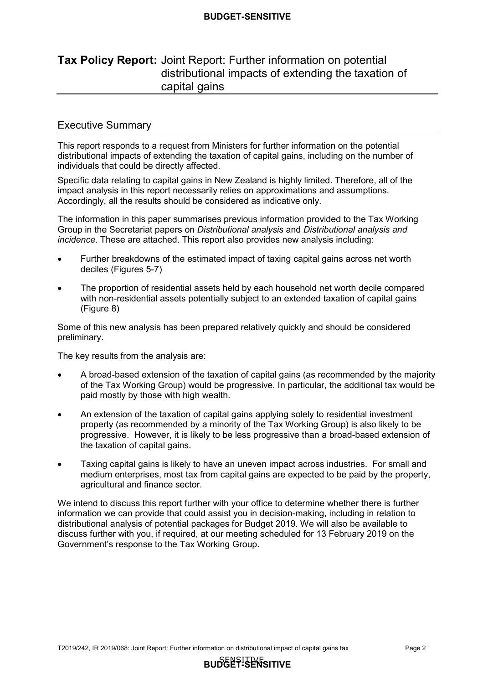## **Tax Policy Report:** Joint Report: Further information on potential distributional impacts of extending the taxation of capital gains

#### Executive Summary

 This report responds to a request from Ministers for further information on the potential distributional impacts of extending the taxation of capital gains, including on the number of individuals that could be directly affected.

 Specific data relating to capital gains in New Zealand is highly limited. Therefore, all of the impact analysis in this report necessarily relies on approximations and assumptions. Accordingly, all the results should be considered as indicative only.

 The information in this paper summarises previous information provided to the Tax Working Group in the Secretariat papers on *Distributional analysis* and *Distributional analysis and incidence*. These are attached. This report also provides new analysis including:

- • Further breakdowns of the estimated impact of taxing capital gains across net worth deciles (Figures 5-7)
- with non-residential assets potentially subject to an extended taxation of capital gains (Figure 8) • The proportion of residential assets held by each household net worth decile compared

 Some of this new analysis has been prepared relatively quickly and should be considered preliminary.

The key results from the analysis are:

- of the Tax Working Group) would be progressive. In particular, the additional tax would be paid mostly by those with high wealth. • A broad-based extension of the taxation of capital gains (as recommended by the majority
- property (as recommended by a minority of the Tax Working Group) is also likely to be progressive. However, it is likely to be less progressive than a broad-based extension of the taxation of capital gains. • An extension of the taxation of capital gains applying solely to residential investment
- medium enterprises, most tax from capital gains are expected to be paid by the property, agricultural and finance sector. • Taxing capital gains is likely to have an uneven impact across industries. For small and

 We intend to discuss this report further with your office to determine whether there is further information we can provide that could assist you in decision-making, including in relation to distributional analysis of potential packages for Budget 2019. We will also be available to discuss further with you, if required, at our meeting scheduled for 13 February 2019 on the Government's response to the Tax Working Group.

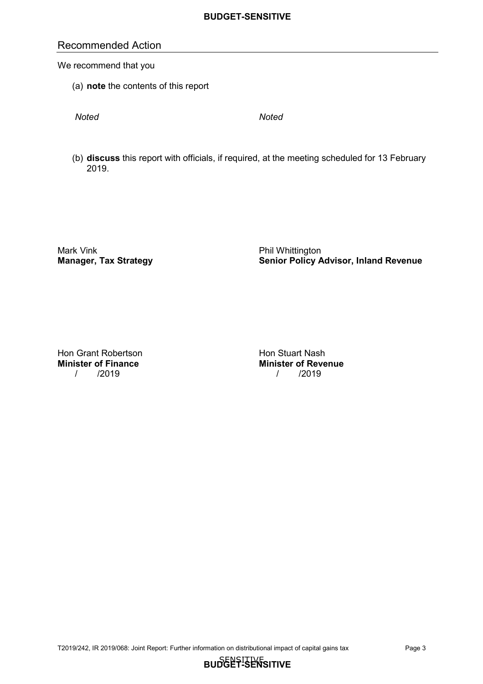## Recommended Action

We recommend that you

(a) **note** the contents of this report

*Noted Noted* 

 (b) **discuss** this report with officials, if required, at the meeting scheduled for 13 February 2019.

Mark Vink<br>Manager, Tax Strategy

 **Manager, Tax Strategy Senior Policy Advisor, Inland Revenue** Phil Whittington

Hon Grant Robertson **Hon Stuart Nash Minister of Finance** / /2019 / /2019

**Minister of Finance Minister of Revenue**

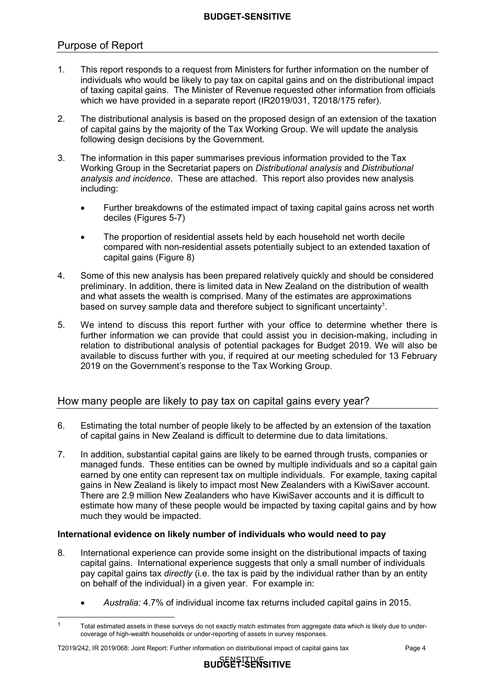## Purpose of Report

- $1<sub>1</sub>$  individuals who would be likely to pay tax on capital gains and on the distributional impact of taxing capital gains. The Minister of Revenue requested other information from officials which we have provided in a separate report (IR2019/031, T2018/175 refer). 1. This report responds to a request from Ministers for further information on the number of
- $2<sup>1</sup>$  of capital gains by the majority of the Tax Working Group. We will update the analysis following design decisions by the Government. 2. The distributional analysis is based on the proposed design of an extension of the taxation
- $\mathbf{3}$  Working Group in the Secretariat papers on *Distributional analysis* and *Distributional analysis and incidence*. These are attached. This report also provides new analysis The information in this paper summarises previous information provided to the Tax including:
	- • Further breakdowns of the estimated impact of taxing capital gains across net worth deciles (Figures 5-7)
	- compared with non-residential assets potentially subject to an extended taxation of capital gains (Figure 8) • The proportion of residential assets held by each household net worth decile
- 4. Some of this new analysis has been prepared relatively quickly and should be considered preliminary. In addition, there is limited data in New Zealand on the distribution of wealth and what assets the wealth is comprised. Many of the estimates are approximations based on survey sample data and therefore subject to significant uncertainty<sup>1</sup>.
- $5<sub>1</sub>$  further information we can provide that could assist you in decision-making, including in relation to distributional analysis of potential packages for Budget 2019. We will also be available to discuss further with you, if required at our meeting scheduled for 13 February 2019 on the Government's response to the Tax Working Group. We intend to discuss this report further with your office to determine whether there is

## How many people are likely to pay tax on capital gains every year?

- 6. Estimating the total number of people likely to be affected by an extension of the taxation of capital gains in New Zealand is difficult to determine due to data limitations.
- 7. In addition, substantial capital gains are likely to be earned through trusts, companies or managed funds. These entities can be owned by multiple individuals and so a capital gain earned by one entity can represent tax on multiple individuals. For example, taxing capital gains in New Zealand is likely to impact most New Zealanders with a KiwiSaver account. There are 2.9 million New Zealanders who have KiwiSaver accounts and it is difficult to estimate how many of these people would be impacted by taxing capital gains and by how much they would be impacted.

## **International evidence on likely number of individuals who would need to pay**

- 8. International experience can provide some insight on the distributional impacts of taxing capital gains. International experience suggests that only a small number of individuals pay capital gains tax *directly* (i.e. the tax is paid by the individual rather than by an entity on behalf of the individual) in a given year. For example in:
	- *Australia:* 4.7% of individual income tax returns included capital gains in 2015.

 $\overline{a}$ 

 coverage of high-wealth households or under-reporting of assets in survey responses. Total estimated assets in these surveys do not exactly match estimates from aggregate data which is likely due to under-1

 T2019/242, IR 2019/068: Joint Report: Further information on distributional impact of capital gains tax Page 4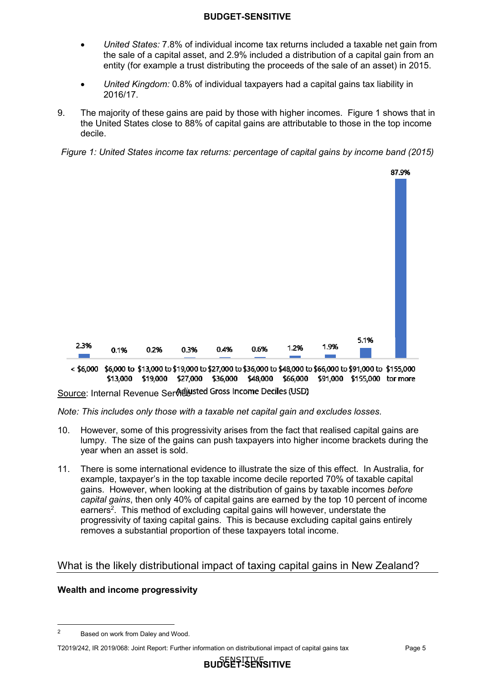- • *United States:* 7.8% of individual income tax returns included a taxable net gain from the sale of a capital asset, and 2.9% included a distribution of a capital gain from an entity (for example a trust distributing the proceeds of the sale of an asset) in 2015.
- • *United Kingdom:* 0.8% of individual taxpayers had a capital gains tax liability in 2016/17.
- 9. the United States close to 88% of capital gains are attributable to those in the top income The majority of these gains are paid by those with higher incomes. Figure 1 shows that in decile.

*Figure 1: United States income tax returns: percentage of capital gains by income band (2015)* 



< \$6,000 \$6,000 to \$13,000 to \$19,000 to \$27,000 to \$36,000 to \$48,000 to \$66,000 to \$91,000 to \$155,000 \$13,000 \$19,000 \$27,000 \$36,000 \$48,000 \$66,000 \$91,000 \$155,000 tor more

<u>Source</u>: Internal Revenue Ser**กิ**ยี**⊌**'

*Note: This includes only those with a taxable net capital gain and excludes losses.* 

- 10. However, some of this progressivity arises from the fact that realised capital gains are lumpy. The size of the gains can push taxpayers into higher income brackets during the year when an asset is sold.
- $11.$  example, taxpayer's in the top taxable income decile reported 70% of taxable capital gains. However, when looking at the distribution of gains by taxable incomes *before capital gains*, then only 40% of capital gains are earned by the top 10 percent of income earners<sup>2</sup>. This method of excluding capital gains will however, understate the progressivity of taxing capital gains. This is because excluding capital gains entirely removes a substantial proportion of these taxpayers total income. There is some international evidence to illustrate the size of this effect. In Australia, for

## What is the likely distributional impact of taxing capital gains in New Zealand?

## **Wealth and income progressivity**

 $\overline{a}$ 

 2Based on work from Daley and Wood.

 T2019/242, IR 2019/068: Joint Report: Further information on distributional impact of capital gains tax Page 5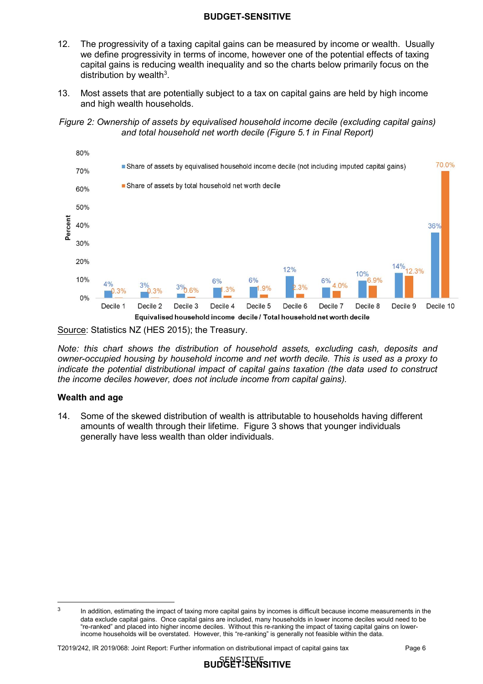- $12.$  we define progressivity in terms of income, however one of the potential effects of taxing capital gains is reducing wealth inequality and so the charts below primarily focus on the The progressivity of a taxing capital gains can be measured by income or wealth. Usually distribution by wealth $3$ .
- $13<sub>1</sub>$  and high wealth households. Most assets that are potentially subject to a tax on capital gains are held by high income

*Figure 2: Ownership of assets by equivalised household income decile (excluding capital gains) and total household net worth decile (Figure 5.1 in Final Report)* 



Source: Statistics NZ (HES 2015); the Treasury.

 *the income deciles however, does not include income from capital gains). Note: this chart shows the distribution of household assets, excluding cash, deposits and owner-occupied housing by household income and net worth decile. This is used as a proxy to indicate the potential distributional impact of capital gains taxation (the data used to construct* 

#### **Wealth and age**

 $\overline{a}$ 

 $14.$  amounts of wealth through their lifetime. Figure 3 shows that younger individuals generally have less wealth than older individuals. Some of the skewed distribution of wealth is attributable to households having different

T2019/242, IR 2019/068: Joint Report: Further information on distributional impact of capital gains tax Page 6





 data exclude capital gains. Once capital gains are included, many households in lower income deciles would need to be "re-ranked" and placed into higher income deciles. Without this re-ranking the impact of taxing capital gains on lower- income households will be overstated. However, this "re-ranking" is generally not feasible within the data. In addition, estimating the impact of taxing more capital gains by incomes is difficult because income measurements in the 3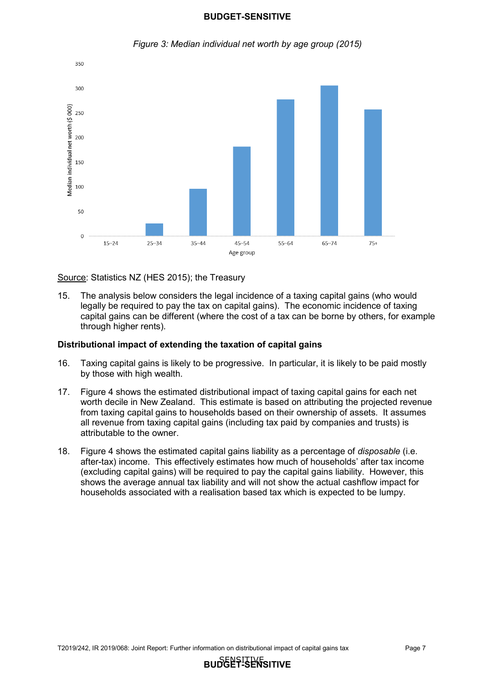

*Figure 3: Median individual net worth by age group (2015)* 

Source: Statistics NZ (HES 2015); the Treasury

 $15.$  legally be required to pay the tax on capital gains). The economic incidence of taxing capital gains can be different (where the cost of a tax can be borne by others, for example through higher rents). The analysis below considers the legal incidence of a taxing capital gains (who would

#### **Distributional impact of extending the taxation of capital gains**

- $16.$  by those with high wealth. Taxing capital gains is likely to be progressive. In particular, it is likely to be paid mostly
- 17. worth decile in New Zealand. This estimate is based on attributing the projected revenue from taxing capital gains to households based on their ownership of assets. It assumes all revenue from taxing capital gains (including tax paid by companies and trusts) is attributable to the owner. Figure 4 shows the estimated distributional impact of taxing capital gains for each net
- $18<sup>1</sup>$  after-tax) income. This effectively estimates how much of households' after tax income (excluding capital gains) will be required to pay the capital gains liability. However, this shows the average annual tax liability and will not show the actual cashflow impact for households associated with a realisation based tax which is expected to be lumpy. 18. Figure 4 shows the estimated capital gains liability as a percentage of *disposable* (i.e.

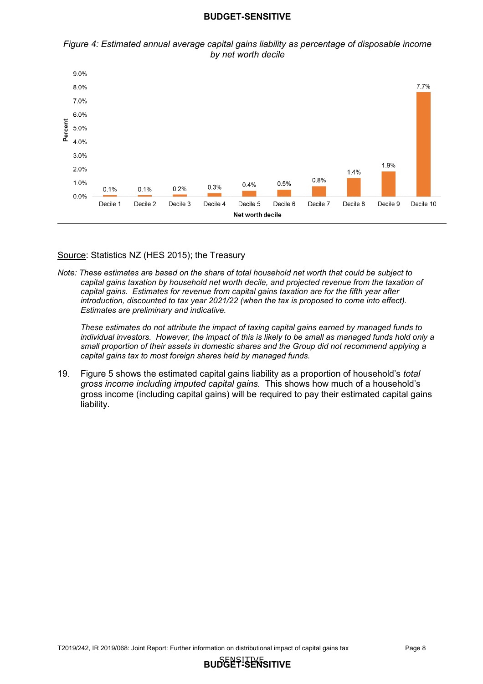



Source: Statistics NZ (HES 2015); the Treasury

 *Note: These estimates are based on the share of total household net worth that could be subject to capital gains taxation by household net worth decile, and projected revenue from the taxation of capital gains. Estimates for revenue from capital gains taxation are for the fifth year after introduction, discounted to tax year 2021/22 (when the tax is proposed to come into effect). Estimates are preliminary and indicative.* 

 *individual investors. However, the impact of this is likely to be small as managed funds hold only a These estimates do not attribute the impact of taxing capital gains earned by managed funds to small proportion of their assets in domestic shares and the Group did not recommend applying a capital gains tax to most foreign shares held by managed funds.* 

19.  *gross income including imputed capital gains.* This shows how much of a household's gross income (including capital gains) will be required to pay their estimated capital gains liability. 19. Figure 5 shows the estimated capital gains liability as a proportion of household's *total* 

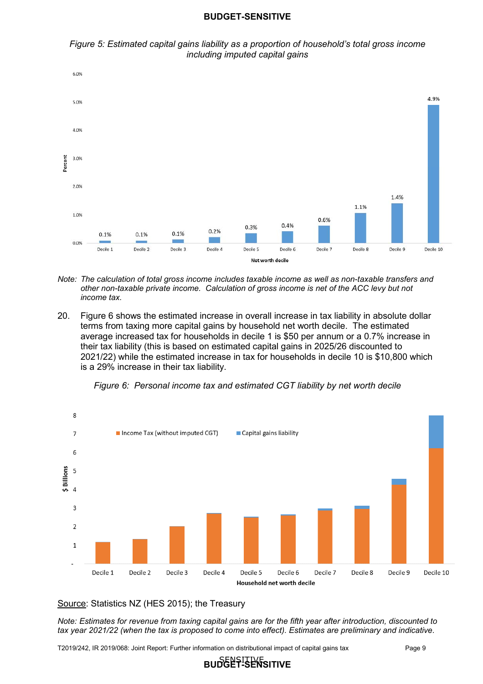



- *Note: The calculation of total gross income includes taxable income as well as non-taxable transfers and other non-taxable private income. Calculation of gross income is net of the ACC levy but not income tax.*
- $20<sub>1</sub>$  terms from taxing more capital gains by household net worth decile. The estimated average increased tax for households in decile 1 is \$50 per annum or a 0.7% increase in their tax liability (this is based on estimated capital gains in 2025/26 discounted to 2021/22) while the estimated increase in tax for households in decile 10 is \$10,800 which is a 29% increase in their tax liability. Figure 6 shows the estimated increase in overall increase in tax liability in absolute dollar



 *Figure 6: Personal income tax and estimated CGT liability by net worth decile* 

Source: Statistics NZ (HES 2015); the Treasury

*Note: Estimates for revenue from taxing capital gains are for the fifth year after introduction, discounted to tax year 2021/22 (when the tax is proposed to come into effect). Estimates are preliminary and indicative.* 

SENSITIVE **BUDGET-SENSITIVE**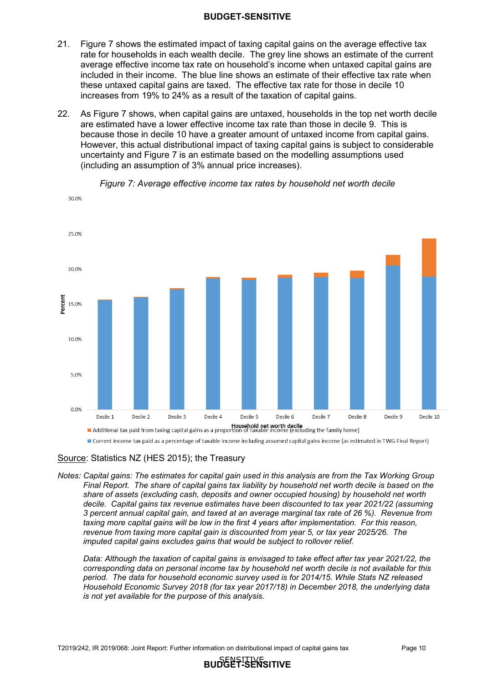- $21.$  rate for households in each wealth decile. The grey line shows an estimate of the current average effective income tax rate on household's income when untaxed capital gains are included in their income. The blue line shows an estimate of their effective tax rate when these untaxed capital gains are taxed. The effective tax rate for those in decile 10 increases from 19% to 24% as a result of the taxation of capital gains. Figure 7 shows the estimated impact of taxing capital gains on the average effective tax
- $22<sub>2</sub>$  are estimated have a lower effective income tax rate than those in decile 9. This is because those in decile 10 have a greater amount of untaxed income from capital gains. However, this actual distributional impact of taxing capital gains is subject to considerable uncertainty and Figure 7 is an estimate based on the modelling assumptions used (including an assumption of 3% annual price increases). As Figure 7 shows, when capital gains are untaxed, households in the top net worth decile



*Figure 7: Average effective income tax rates by household net worth decile* 

Source: Statistics NZ (HES 2015); the Treasury

 *revenue from taxing more capital gain is discounted from year 5, or tax year 2025/26. The imputed capital gains excludes gains that would be subject to rollover relief. Notes: Capital gains: The estimates for capital gain used in this analysis are from the Tax Working Group Final Report. The share of capital gains tax liability by household net worth decile is based on the share of assets (excluding cash, deposits and owner occupied housing) by household net worth decile. Capital gains tax revenue estimates have been discounted to tax year 2021/22 (assuming 3 percent annual capital gain, and taxed at an average marginal tax rate of 26 %). Revenue from taxing more capital gains will be low in the first 4 years after implementation. For this reason,* 

 *is not yet available for the purpose of this analysis. imputed capital gains excludes gains that would be subject to rollover relief. Data: Although the taxation of capital gains is envisaged to take effect after tax year 2021/22, the corresponding data on personal income tax by household net worth decile is not available for this period. The data for household economic survey used is for 2014/15. While Stats NZ released Household Economic Survey 2018 (for tax year 2017/18) in December 2018, the underlying data* 

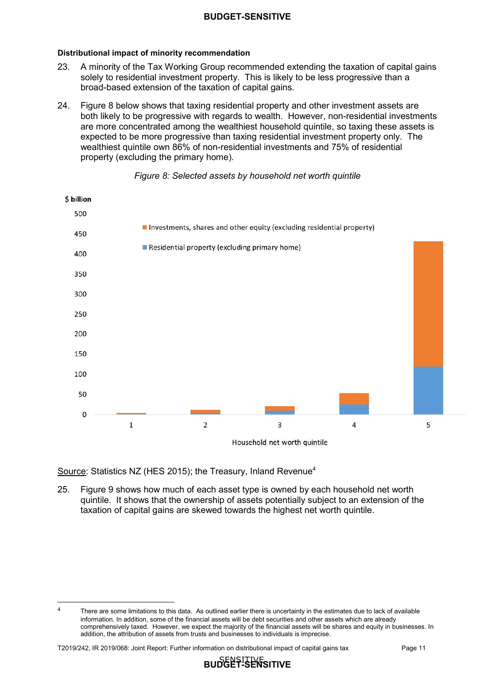#### **Distributional impact of minority recommendation**

- 23. solely to residential investment property. This is likely to be less progressive than a broad-based extension of the taxation of capital gains. A minority of the Tax Working Group recommended extending the taxation of capital gains
- $24$  both likely to be progressive with regards to wealth. However, non-residential investments are more concentrated among the wealthiest household quintile, so taxing these assets is expected to be more progressive than taxing residential investment property only. The wealthiest quintile own 86% of non-residential investments and 75% of residential property (excluding the primary home). Figure 8 below shows that taxing residential property and other investment assets are



#### *Figure 8: Selected assets by household net worth quintile*

Source: Statistics NZ (HES 2015); the Treasury, Inland Revenue<sup>4</sup>

 $25.$  quintile. It shows that the ownership of assets potentially subject to an extension of the taxation of capital gains are skewed towards the highest net worth quintile. Figure 9 shows how much of each asset type is owned by each household net worth

 $\overline{a}$ 



 information. In addition, some of the financial assets will be debt securities and other assets which are already comprehensively taxed. However, we expect the majority of the financial assets will be shares and equity in businesses. In addition, the attribution of assets from trusts and businesses to individuals is imprecise. There are some limitations to this data. As outlined earlier there is uncertainty in the estimates due to lack of available 4

 T2019/242, IR 2019/068: Joint Report: Further information on distributional impact of capital gains tax Page 11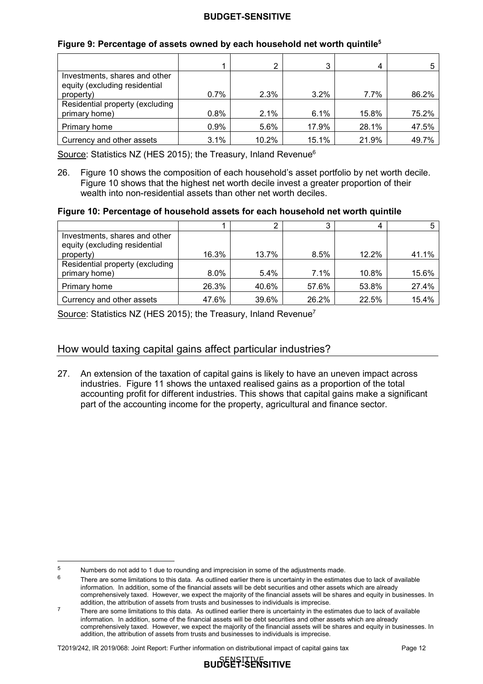| Figure 9: Percentage of assets owned by each household net worth quintile <sup>5</sup> |  |  |  |
|----------------------------------------------------------------------------------------|--|--|--|
|                                                                                        |  |  |  |

|                                                                |      | 2     | 3     |       |       |
|----------------------------------------------------------------|------|-------|-------|-------|-------|
| Investments, shares and other<br>equity (excluding residential |      |       |       |       |       |
| property)                                                      | 0.7% | 2.3%  | 3.2%  | 7.7%  | 86.2% |
| Residential property (excluding                                |      |       |       |       |       |
| primary home)                                                  | 0.8% | 2.1%  | 6.1%  | 15.8% | 75.2% |
| Primary home                                                   | 0.9% | 5.6%  | 17.9% | 28.1% | 47.5% |
| Currency and other assets                                      | 3.1% | 10.2% | 15.1% | 21.9% | 49.7% |

Source: Statistics NZ (HES 2015); the Treasury, Inland Revenue $^6$ 

 $26.$  Figure 10 shows that the highest net worth decile invest a greater proportion of their wealth into non-residential assets than other net worth deciles. Figure 10 shows the composition of each household's asset portfolio by net worth decile.

#### **Figure 10: Percentage of household assets for each household net worth quintile**

| Investments, shares and other   |       |         |       |       |       |
|---------------------------------|-------|---------|-------|-------|-------|
| equity (excluding residential   |       |         |       |       |       |
| property)                       | 16.3% | 13.7%   | 8.5%  | 12.2% | 41.1% |
| Residential property (excluding |       |         |       |       |       |
| primary home)                   | 8.0%  | $5.4\%$ | 7.1%  | 10.8% | 15.6% |
| Primary home                    | 26.3% | 40.6%   | 57.6% | 53.8% | 27.4% |
| Currency and other assets       | 47.6% | 39.6%   | 26.2% | 22.5% | 15.4% |

Source: Statistics NZ (HES 2015); the Treasury, Inland Revenue<sup>7</sup>

## How would taxing capital gains affect particular industries?

 27. An extension of the taxation of capital gains is likely to have an uneven impact across industries. Figure 11 shows the untaxed realised gains as a proportion of the total accounting profit for different industries. This shows that capital gains make a significant part of the accounting income for the property, agricultural and finance sector.

 $\overline{a}$ 

T2019/242, IR 2019/068: Joint Report: Further information on distributional impact of capital gains tax Page 12

SENSITIVE **BUDGET-SENSITIVE**

 $\frac{5}{6}$ Numbers do not add to 1 due to rounding and imprecision in some of the adjustments made.

 information. In addition, some of the financial assets will be debt securities and other assets which are already comprehensively taxed. However, we expect the majority of the financial assets will be shares and equity in businesses. In addition, the attribution of assets from trusts and businesses to individuals is imprecise. There are some limitations to this data. As outlined earlier there is uncertainty in the estimates due to lack of available

 information. In addition, some of the financial assets will be debt securities and other assets which are already comprehensively taxed. However, we expect the majority of the financial assets will be shares and equity in businesses. In addition, the attribution of assets from trusts and businesses to individuals is imprecise.  $7 \text{$  There are some limitations to this data. As outlined earlier there is uncertainty in the estimates due to lack of available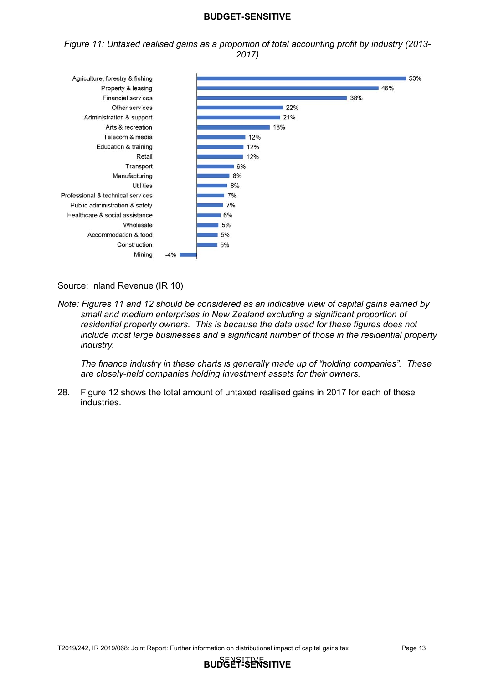*Figure 11: Untaxed realised gains as a proportion of total accounting profit by industry (2013- 2017)* 



#### Source: Inland Revenue (IR 10)

*Note: Figures 11 and 12 should be considered as an indicative view of capital gains earned by small and medium enterprises in New Zealand excluding a significant proportion of residential property owners. This is because the data used for these figures does not include most large businesses and a significant number of those in the residential property industry.* 

*The finance industry in these charts is generally made up of "holding companies". These are closely-held companies holding investment assets for their owners.* 

28. Figure 12 shows the total amount of untaxed realised gains in 2017 for each of these industries.